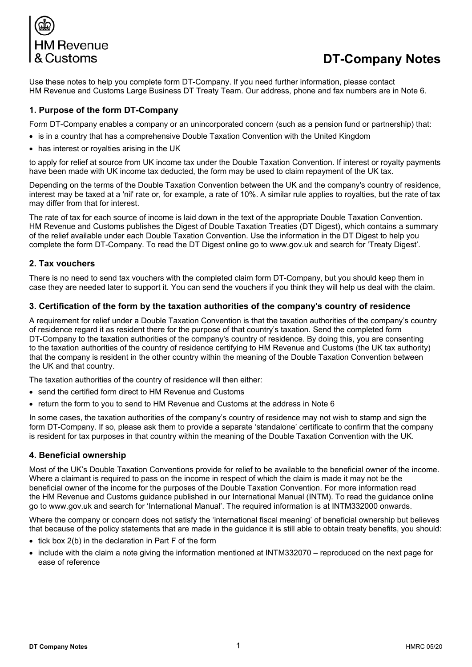

# **DT-Company Notes**

Use these notes to help you complete form DT-Company. If you need further information, please contact HM Revenue and Customs Large Business DT Treaty Team. Our address, phone and fax numbers are in Note 6.

## **1. Purpose of the form DT-Company**

Form DT-Company enables a company or an unincorporated concern (such as a pension fund or partnership) that:

- is in a country that has a comprehensive Double Taxation Convention with the United Kingdom
- has interest or royalties arising in the UK

to apply for relief at source from UK income tax under the Double Taxation Convention. If interest or royalty payments have been made with UK income tax deducted, the form may be used to claim repayment of the UK tax.

Depending on the terms of the Double Taxation Convention between the UK and the company's country of residence, interest may be taxed at a 'nil' rate or, for example, a rate of 10%. A similar rule applies to royalties, but the rate of tax may differ from that for interest.

The rate of tax for each source of income is laid down in the text of the appropriate Double Taxation Convention. HM Revenue and Customs publishes the Digest of Double Taxation Treaties (DT Digest), which contains a summary of the relief available under each Double Taxation Convention. Use the information in the DT Digest to help you complete the form DT-Company. To read the DT Digest online go to www.gov.uk and search for 'Treaty Digest'.

## **2. Tax vouchers**

There is no need to send tax vouchers with the completed claim form DT-Company, but you should keep them in case they are needed later to support it. You can send the vouchers if you think they will help us deal with the claim.

## **3. Certification of the form by the taxation authorities of the company's country of residence**

A requirement for relief under a Double Taxation Convention is that the taxation authorities of the company's country of residence regard it as resident there for the purpose of that country's taxation. Send the completed form DT-Company to the taxation authorities of the company's country of residence. By doing this, you are consenting to the taxation authorities of the country of residence certifying to HM Revenue and Customs (the UK tax authority) that the company is resident in the other country within the meaning of the Double Taxation Convention between the UK and that country.

The taxation authorities of the country of residence will then either:

- send the certified form direct to HM Revenue and Customs
- return the form to you to send to HM Revenue and Customs at the address in Note 6

In some cases, the taxation authorities of the company's country of residence may not wish to stamp and sign the form DT-Company. If so, please ask them to provide a separate 'standalone' certificate to confirm that the company is resident for tax purposes in that country within the meaning of the Double Taxation Convention with the UK.

## **4. Beneficial ownership**

Most of the UK's Double Taxation Conventions provide for relief to be available to the beneficial owner of the income. Where a claimant is required to pass on the income in respect of which the claim is made it may not be the beneficial owner of the income for the purposes of the Double Taxation Convention. For more information read the HM Revenue and Customs guidance published in our International Manual (INTM). To read the guidance online go to www.gov.uk and search for 'International Manual'. The required information is at INTM332000 onwards.

Where the company or concern does not satisfy the 'international fiscal meaning' of beneficial ownership but believes that because of the policy statements that are made in the guidance it is still able to obtain treaty benefits, you should:

- tick box 2(b) in the declaration in Part F of the form
- include with the claim a note giving the information mentioned at INTM332070 reproduced on the next page for ease of reference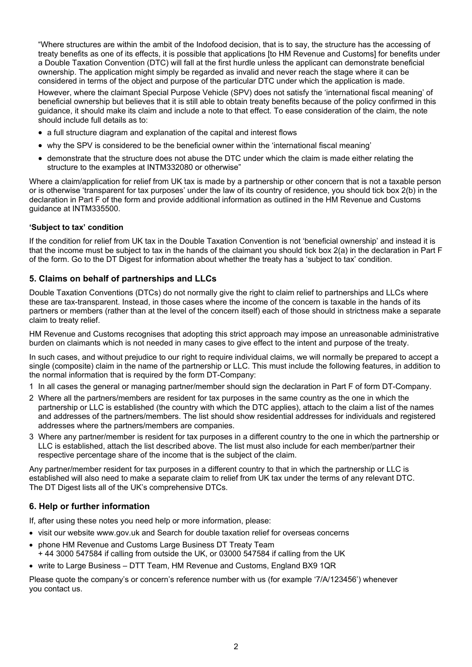"Where structures are within the ambit of the Indofood decision, that is to say, the structure has the accessing of treaty benefits as one of its effects, it is possible that applications [to HM Revenue and Customs] for benefits under a Double Taxation Convention (DTC) will fall at the first hurdle unless the applicant can demonstrate beneficial ownership. The application might simply be regarded as invalid and never reach the stage where it can be considered in terms of the object and purpose of the particular DTC under which the application is made.

However, where the claimant Special Purpose Vehicle (SPV) does not satisfy the 'international fiscal meaning' of beneficial ownership but believes that it is still able to obtain treaty benefits because of the policy confirmed in this guidance, it should make its claim and include a note to that effect. To ease consideration of the claim, the note should include full details as to:

- a full structure diagram and explanation of the capital and interest flows
- why the SPV is considered to be the beneficial owner within the 'international fiscal meaning'
- demonstrate that the structure does not abuse the DTC under which the claim is made either relating the structure to the examples at INTM332080 or otherwise"

Where a claim/application for relief from UK tax is made by a partnership or other concern that is not a taxable person or is otherwise 'transparent for tax purposes' under the law of its country of residence, you should tick box 2(b) in the declaration in Part F of the form and provide additional information as outlined in the HM Revenue and Customs guidance at INTM335500.

#### **'Subject to tax' condition**

If the condition for relief from UK tax in the Double Taxation Convention is not 'beneficial ownership' and instead it is that the income must be subject to tax in the hands of the claimant you should tick box 2(a) in the declaration in Part F of the form. Go to the DT Digest for information about whether the treaty has a 'subject to tax' condition.

## **5. Claims on behalf of partnerships and LLCs**

Double Taxation Conventions (DTCs) do not normally give the right to claim relief to partnerships and LLCs where these are tax-transparent. Instead, in those cases where the income of the concern is taxable in the hands of its partners or members (rather than at the level of the concern itself) each of those should in strictness make a separate claim to treaty relief.

HM Revenue and Customs recognises that adopting this strict approach may impose an unreasonable administrative burden on claimants which is not needed in many cases to give effect to the intent and purpose of the treaty.

In such cases, and without prejudice to our right to require individual claims, we will normally be prepared to accept a single (composite) claim in the name of the partnership or LLC. This must include the following features, in addition to the normal information that is required by the form DT-Company:

- 1 In all cases the general or managing partner/member should sign the declaration in Part F of form DT-Company.
- 2 Where all the partners/members are resident for tax purposes in the same country as the one in which the partnership or LLC is established (the country with which the DTC applies), attach to the claim a list of the names and addresses of the partners/members. The list should show residential addresses for individuals and registered addresses where the partners/members are companies.
- 3 Where any partner/member is resident for tax purposes in a different country to the one in which the partnership or LLC is established, attach the list described above. The list must also include for each member/partner their respective percentage share of the income that is the subject of the claim.

Any partner/member resident for tax purposes in a different country to that in which the partnership or LLC is established will also need to make a separate claim to relief from UK tax under the terms of any relevant DTC. The DT Digest lists all of the UK's comprehensive DTCs.

## **6. Help or further information**

If, after using these notes you need help or more information, please:

- visit our website www.gov.uk and Search for double taxation relief for overseas concerns
- phone HM Revenue and Customs Large Business DT Treaty Team + 44 3000 547584 if calling from outside the UK, or 03000 547584 if calling from the UK
- write to Large Business DTT Team, HM Revenue and Customs, England BX9 1QR

Please quote the company's or concern's reference number with us (for example '7/A/123456') whenever you contact us.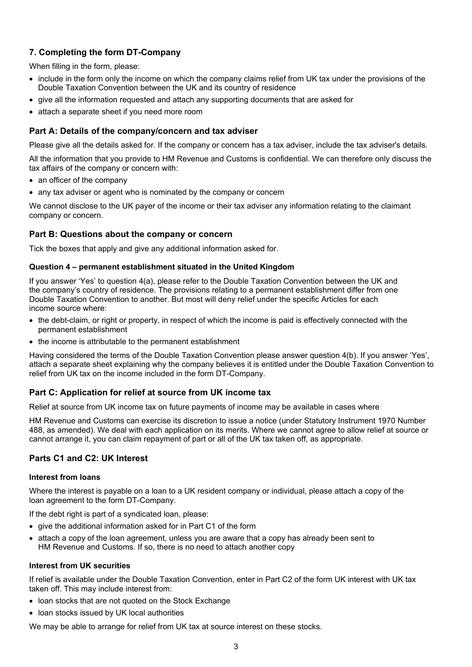## **7. Completing the form DT-Company**

When filling in the form, please:

- include in the form only the income on which the company claims relief from UK tax under the provisions of the Double Taxation Convention between the UK and its country of residence
- give all the information requested and attach any supporting documents that are asked for
- attach a separate sheet if you need more room

## **Part A: Details of the company/concern and tax adviser**

Please give all the details asked for. If the company or concern has a tax adviser, include the tax adviser's details.

All the information that you provide to HM Revenue and Customs is confidential. We can therefore only discuss the tax affairs of the company or concern with:

- an officer of the company
- any tax adviser or agent who is nominated by the company or concern

We cannot disclose to the UK payer of the income or their tax adviser any information relating to the claimant company or concern.

## **Part B: Questions about the company or concern**

Tick the boxes that apply and give any additional information asked for.

#### **Question 4 – permanent establishment situated in the United Kingdom**

If you answer 'Yes' to question 4(a), please refer to the Double Taxation Convention between the UK and the company's country of residence. The provisions relating to a permanent establishment differ from one Double Taxation Convention to another. But most will deny relief under the specific Articles for each income source where:

- the debt-claim, or right or property, in respect of which the income is paid is effectively connected with the permanent establishment
- the income is attributable to the permanent establishment

Having considered the terms of the Double Taxation Convention please answer question 4(b). If you answer 'Yes', attach a separate sheet explaining why the company believes it is entitled under the Double Taxation Convention to relief from UK tax on the income included in the form DT-Company.

## **Part C: Application for relief at source from UK income tax**

Relief at source from UK income tax on future payments of income may be available in cases where

HM Revenue and Customs can exercise its discretion to issue a notice (under Statutory Instrument 1970 Number 488, as amended). We deal with each application on its merits. Where we cannot agree to allow relief at source or cannot arrange it, you can claim repayment of part or all of the UK tax taken off, as appropriate.

## **Parts C1 and C2: UK Interest**

#### **Interest from loans**

Where the interest is payable on a loan to a UK resident company or individual, please attach a copy of the loan agreement to the form DT-Company.

If the debt right is part of a syndicated loan, please:

- give the additional information asked for in Part C1 of the form
- attach a copy of the loan agreement, unless you are aware that a copy has already been sent to HM Revenue and Customs. If so, there is no need to attach another copy

#### **Interest from UK securities**

If relief is available under the Double Taxation Convention, enter in Part C2 of the form UK interest with UK tax taken off. This may include interest from:

- loan stocks that are not quoted on the Stock Exchange
- loan stocks issued by UK local authorities

We may be able to arrange for relief from UK tax at source interest on these stocks.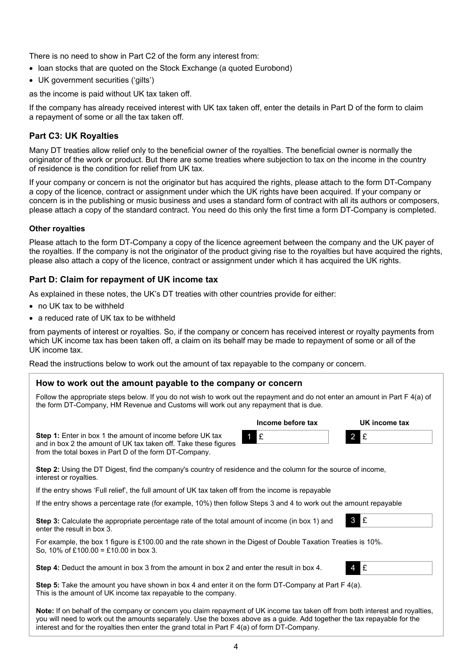There is no need to show in Part C2 of the form any interest from:

- Ioan stocks that are quoted on the Stock Exchange (a quoted Eurobond)
- UK government securities ('gilts')

as the income is paid without UK tax taken off.

If the company has already received interest with UK tax taken off, enter the details in Part D of the form to claim a repayment of some or all the tax taken off.

#### **Part C3: UK Royalties**

Many DT treaties allow relief only to the beneficial owner of the royalties. The beneficial owner is normally the originator of the work or product. But there are some treaties where subjection to tax on the income in the country of residence is the condition for relief from UK tax.

If your company or concern is not the originator but has acquired the rights, please attach to the form DT-Company a copy of the licence, contract or assignment under which the UK rights have been acquired. If your company or concern is in the publishing or music business and uses a standard form of contract with all its authors or composers, please attach a copy of the standard contract. You need do this only the first time a form DT-Company is completed.

#### **Other royalties**

Please attach to the form DT-Company a copy of the licence agreement between the company and the UK payer of the royalties. If the company is not the originator of the product giving rise to the royalties but have acquired the rights, please also attach a copy of the licence, contract or assignment under which it has acquired the UK rights.

## **Part D: Claim for repayment of UK income tax**

As explained in these notes, the UK's DT treaties with other countries provide for either:

• no UK tax to be withheld

interest or royalties.

• a reduced rate of UK tax to be withheld

from payments of interest or royalties. So, if the company or concern has received interest or royalty payments from which UK income tax has been taken off, a claim on its behalf may be made to repayment of some or all of the UK income tax.

Read the instructions below to work out the amount of tax repayable to the company or concern.

#### **How to work out the amount payable to the company or concern**

Follow the appropriate steps below. If you do not wish to work out the repayment and do not enter an amount in Part F 4(a) of the form DT-Company, HM Revenue and Customs will work out any repayment that is due.

|                                                                                                                                                                                               | Income before tax | UK income tax |
|-----------------------------------------------------------------------------------------------------------------------------------------------------------------------------------------------|-------------------|---------------|
| <b>Step 1:</b> Enter in box 1 the amount of income before UK tax<br>and in box 2 the amount of UK tax taken off. Take these figures<br>from the total boxes in Part D of the form DT-Company. | $f$ of $f$        | $2$ £         |
| Step 2: Using the DT Digest, find the company's country of residence and the column for the source of income,                                                                                 |                   |               |

If the entry shows 'Full relief', the full amount of UK tax taken off from the income is repayable

If the entry shows a percentage rate (for example, 10%) then follow Steps 3 and 4 to work out the amount repayable

**Step 3:** Calculate the appropriate percentage rate of the total amount of income (in box 1) and enter the result in box 3.

For example, the box 1 figure is £100.00 and the rate shown in the Digest of Double Taxation Treaties is 10%. So, 10% of £100.00 = £10.00 in box 3.

**Step 4:** Deduct the amount in box 3 from the amount in box 2 and enter the result in box 4.



3 £

**Step 5:** Take the amount you have shown in box 4 and enter it on the form DT-Company at Part F 4(a). This is the amount of UK income tax repayable to the company.

**Note:** If on behalf of the company or concern you claim repayment of UK income tax taken off from both interest and royalties, you will need to work out the amounts separately. Use the boxes above as a guide. Add together the tax repayable for the interest and for the royalties then enter the grand total in Part F 4(a) of form DT-Company.